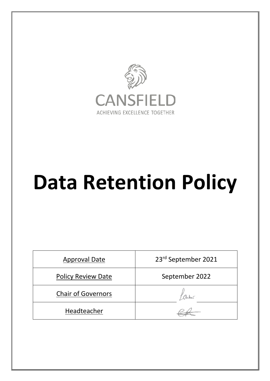

# **Data Retention Policy**

| <b>Approval Date</b>      | 23rd September 2021 |
|---------------------------|---------------------|
| <b>Policy Review Date</b> | September 2022      |
| <b>Chair of Governors</b> |                     |
| Headteacher               |                     |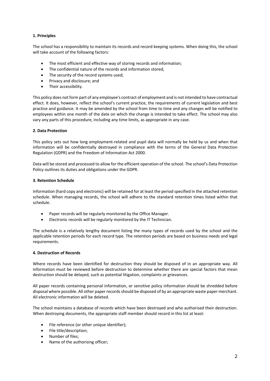# **1. Principles**

The school has a responsibility to maintain its records and record keeping systems. When doing this, the school will take account of the following factors:

- The most efficient and effective way of storing records and information;
- The confidential nature of the records and information stored;
- The security of the record systems used;
- Privacy and disclosure; and
- Their accessibility.

This policy does not form part of any employee's contract of employment and is not intended to have contractual effect. It does, however, reflect the school's current practice, the requirements of current legislation and best practice and guidance. It may be amended by the school from time to time and any changes will be notified to employees within one month of the date on which the change is intended to take effect. The school may also vary any parts of this procedure, including any time limits, as appropriate in any case.

# **2. Data Protection**

This policy sets out how long employment-related and pupil data will normally be held by us and when that information will be confidentially destroyed in compliance with the terms of the General Data Protection Regulation (GDPR) and the Freedom of Information Act 2000.

Data will be stored and processed to allow for the efficient operation of the school. The school's Data Protection Policy outlines its duties and obligations under the GDPR.

### **3. Retention Schedule**

Information (hard copy and electronic) will be retained for at least the period specified in the attached retention schedule. When managing records, the school will adhere to the standard retention times listed within that schedule.

- Paper records will be regularly monitored by the Office Manager.
- Electronic records will be regularly monitored by the IT Technician.

The schedule is a relatively lengthy document listing the many types of records used by the school and the applicable retention periods for each record type. The retention periods are based on business needs and legal requirements.

### **4. Destruction of Records**

Where records have been identified for destruction they should be disposed of in an appropriate way. All information must be reviewed before destruction to determine whether there are special factors that mean destruction should be delayed, such as potential litigation, complaints or grievances.

All paper records containing personal information, or sensitive policy information should be shredded before disposal where possible. All other paper records should be disposed of by an appropriate waste paper merchant. All electronic information will be deleted.

The school maintains a database of records which have been destroyed and who authorised their destruction. When destroying documents, the appropriate staff member should record in this list at least:

- File reference (or other unique identifier);
- File title/description;
- Number of files;
- Name of the authorising officer;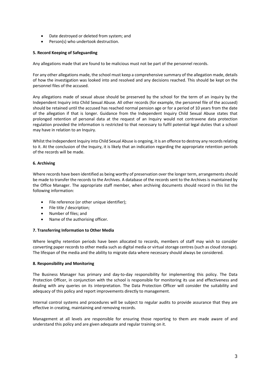- Date destroyed or deleted from system; and
- Person(s) who undertook destruction.

# **5. Record Keeping of Safeguarding**

Any allegations made that are found to be malicious must not be part of the personnel records.

For any other allegations made, the school must keep a comprehensive summary of the allegation made, details of how the investigation was looked into and resolved and any decisions reached. This should be kept on the personnel files of the accused.

Any allegations made of sexual abuse should be preserved by the school for the term of an inquiry by the Independent Inquiry into Child Sexual Abuse. All other records (for example, the personnel file of the accused) should be retained until the accused has reached normal pension age or for a period of 10 years from the date of the allegation if that is longer. Guidance from the Independent Inquiry Child Sexual Abuse states that prolonged retention of personal data at the request of an Inquiry would not contravene data protection regulation provided the information is restricted to that necessary to fulfil potential legal duties that a school may have in relation to an Inquiry.

Whilst the Independent Inquiry into Child Sexual Abuse is ongoing, it is an offence to destroy any records relating to it. At the conclusion of the Inquiry, it is likely that an indication regarding the appropriate retention periods of the records will be made.

# **6. Archiving**

Where records have been identified as being worthy of preservation over the longer term, arrangements should be made to transfer the records to the Archives. A database of the records sent to the Archives is maintained by the Office Manager. The appropriate staff member, when archiving documents should record in this list the following information:

- File reference (or other unique identifier);
- File title / description;
- Number of files; and
- Name of the authorising officer.

### **7. Transferring Information to Other Media**

Where lengthy retention periods have been allocated to records, members of staff may wish to consider converting paper records to other media such as digital media or virtual storage centres (such as cloud storage). The lifespan of the media and the ability to migrate data where necessary should always be considered.

### **8. Responsibility and Monitoring**

The Business Manager has primary and day-to-day responsibility for implementing this policy. The Data Protection Officer, in conjunction with the school is responsible for monitoring its use and effectiveness and dealing with any queries on its interpretation. The Data Protection Officer will consider the suitability and adequacy of this policy and report improvements directly to management.

Internal control systems and procedures will be subject to regular audits to provide assurance that they are effective in creating, maintaining and removing records.

Management at all levels are responsible for ensuring those reporting to them are made aware of and understand this policy and are given adequate and regular training on it.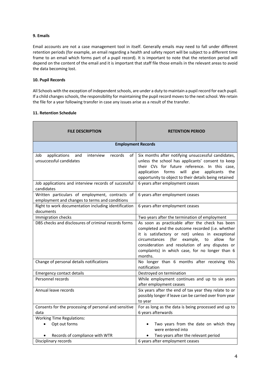# **9. Emails**

Email accounts are not a case management tool in itself. Generally emails may need to fall under different retention periods (for example, an email regarding a health and safety report will be subject to a different time frame to an email which forms part of a pupil record). It is important to note that the retention period will depend on the content of the email and it is important that staff file those emails in the relevant areas to avoid the data becoming lost.

### **10. Pupil Records**

All Schools with the exception of independent schools, are under a duty to maintain a pupil record for each pupil. If a child changes schools, the responsibility for maintaining the pupil record moves to the next school. We retain the file for a year following transfer in case any issues arise as a result of the transfer.

# **11. Retention Schedule**

| <b>FILE DESCRIPTION</b>                                                                           | <b>RETENTION PERIOD</b>                                                                                                                                                                                                                                                                                                             |
|---------------------------------------------------------------------------------------------------|-------------------------------------------------------------------------------------------------------------------------------------------------------------------------------------------------------------------------------------------------------------------------------------------------------------------------------------|
| <b>Employment Records</b>                                                                         |                                                                                                                                                                                                                                                                                                                                     |
| applications<br>Job<br>and<br>interview<br>records<br>of<br>unsuccessful candidates               | Six months after notifying unsuccessful candidates,<br>unless the school has applicants' consent to keep<br>their CVs for future reference. In this case,<br>forms will<br>application<br>give<br>applicants<br>the<br>opportunity to object to their details being retained                                                        |
| Job applications and interview records of successful<br>candidates                                | 6 years after employment ceases                                                                                                                                                                                                                                                                                                     |
| Written particulars of employment, contracts of<br>employment and changes to terms and conditions | 6 years after employment ceases                                                                                                                                                                                                                                                                                                     |
| Right to work documentation including identification<br>documents                                 | 6 years after employment ceases                                                                                                                                                                                                                                                                                                     |
| Immigration checks                                                                                | Two years after the termination of employment                                                                                                                                                                                                                                                                                       |
| DBS checks and disclosures of criminal records forms                                              | As soon as practicable after the check has been<br>completed and the outcome recorded (i.e. whether<br>it is satisfactory or not) unless in exceptional<br>(for<br>example,<br>allow<br>circumstances<br>to<br>for<br>consideration and resolution of any disputes or<br>complaints) in which case, for no longer than 6<br>months. |
| Change of personal details notifications                                                          | No longer than 6 months after receiving this<br>notification                                                                                                                                                                                                                                                                        |
| Emergency contact details                                                                         | Destroyed on termination                                                                                                                                                                                                                                                                                                            |
| Personnel records                                                                                 | While employment continues and up to six years<br>after employment ceases                                                                                                                                                                                                                                                           |
| Annual leave records                                                                              | Six years after the end of tax year they relate to or<br>possibly longer if leave can be carried over from year<br>to year                                                                                                                                                                                                          |
| Consents for the processing of personal and sensitive                                             | For as long as the data is being processed and up to                                                                                                                                                                                                                                                                                |
| data                                                                                              | 6 years afterwards                                                                                                                                                                                                                                                                                                                  |
| <b>Working Time Regulations:</b>                                                                  |                                                                                                                                                                                                                                                                                                                                     |
| Opt out forms                                                                                     | Two years from the date on which they<br>were entered into                                                                                                                                                                                                                                                                          |
| Records of compliance with WTR                                                                    | Two years after the relevant period                                                                                                                                                                                                                                                                                                 |
| Disciplinary records                                                                              | 6 years after employment ceases                                                                                                                                                                                                                                                                                                     |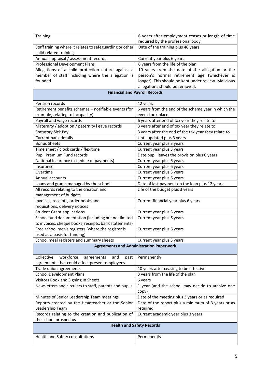| Training                                                                           | 6 years after employment ceases or length of time<br>required by the professional body |  |
|------------------------------------------------------------------------------------|----------------------------------------------------------------------------------------|--|
| Staff training where it relates to safeguarding or other                           | Date of the training plus 40 years                                                     |  |
| child related training                                                             |                                                                                        |  |
| Annual appraisal / assessment records                                              | Current year plus 6 years                                                              |  |
| <b>Professional Development Plans</b>                                              | 6 years from the life of the plan                                                      |  |
| Allegations of a child protection nature against a                                 | 10 years from the date of the allegation or the                                        |  |
| member of staff including where the allegation is                                  | person's normal retirement age (whichever is                                           |  |
| founded                                                                            | longer). This should be kept under review. Malicious                                   |  |
|                                                                                    | allegations should be removed.                                                         |  |
| <b>Financial and Payroll Records</b>                                               |                                                                                        |  |
| Pension records                                                                    | 12 years                                                                               |  |
| Retirement benefits schemes - notifiable events (for                               | 6 years from the end of the scheme year in which the                                   |  |
| example, relating to incapacity)                                                   | event took place                                                                       |  |
| Payroll and wage records                                                           | 6 years after end of tax year they relate to                                           |  |
| Maternity / adoption / paternity I eave records                                    | 3 years after end of tax year they relate to                                           |  |
| <b>Statutory Sick Pay</b>                                                          | 3 years after the end of the tax year they relate to                                   |  |
| <b>Current bank details</b>                                                        | Until updated plus 3 years                                                             |  |
| <b>Bonus Sheets</b>                                                                | Current year plus 3 years                                                              |  |
| Time sheet / clock cards / flexitime                                               | Current year plus 3 years                                                              |  |
| Pupil Premium Fund records                                                         | Date pupil leaves the provision plus 6 years                                           |  |
| National Insurance (schedule of payments)                                          | Current year plus 6 years                                                              |  |
| Insurance                                                                          | Current year plus 6 years                                                              |  |
| Overtime                                                                           | Current year plus 3 years                                                              |  |
| Annual accounts                                                                    | Current year plus 6 years                                                              |  |
| Loans and grants managed by the school                                             | Date of last payment on the loan plus 12 years                                         |  |
| All records relating to the creation and                                           | Life of the budget plus 3 years                                                        |  |
| management of budgets                                                              |                                                                                        |  |
| Invoices, receipts, order books and                                                | Current financial year plus 6 years                                                    |  |
| requisitions, delivery notices                                                     |                                                                                        |  |
| <b>Student Grant applications</b>                                                  | Current year plus 3 years                                                              |  |
| School fund documentation (including but not limited                               | Current year plus 6 years                                                              |  |
| to invoices, cheque books, receipts, bank statements)                              |                                                                                        |  |
| Free school meals registers (where the register is<br>used as a basis for funding) | Current year plus 6 years                                                              |  |
| School meal registers and summary sheets                                           | Current year plus 3 years                                                              |  |
|                                                                                    |                                                                                        |  |
| <b>Agreements and Administration Paperwork</b>                                     |                                                                                        |  |
| workforce<br>Collective<br>agreements<br>and<br>past                               | Permanently                                                                            |  |
| agreements that could affect present employees                                     |                                                                                        |  |
| Trade union agreements                                                             | 10 years after ceasing to be effective                                                 |  |
| <b>School Development Plans</b>                                                    | 3 years from the life of the plan                                                      |  |
| Visitors Book and Signing In Sheets                                                | 6 years                                                                                |  |
| Newsletters and circulars to staff, parents and pupils                             | 1 year (and the school may decide to archive one<br>copy)                              |  |
| Minutes of Senior Leadership Team meetings                                         | Date of the meeting plus 3 years or as required                                        |  |
| Reports created by the Headteacher or the Senior                                   | Date of the report plus a minimum of 3 years or as                                     |  |
| Leadership Team                                                                    | required                                                                               |  |
| Records relating to the creation and publication of                                | Current academic year plus 3 years                                                     |  |
| the school prospectus                                                              |                                                                                        |  |
| <b>Health and Safety Records</b>                                                   |                                                                                        |  |
| Health and Safety consultations                                                    | Permanently                                                                            |  |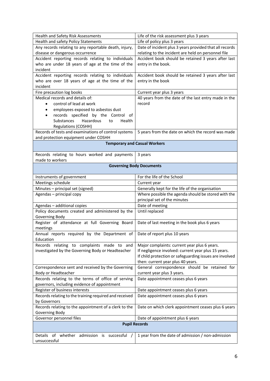| Health and Safety Risk Assessments                                        | Life of the risk assessment plus 3 years                |  |
|---------------------------------------------------------------------------|---------------------------------------------------------|--|
| Health and safety Policy Statements                                       | Life of policy plus 3 years                             |  |
| Any records relating to any reportable death, injury,                     | Date of incident plus 3 years provided that all records |  |
| disease or dangerous occurrence                                           | relating to the incident are held on personnel file     |  |
| Accident reporting records relating to individuals                        | Accident book should be retained 3 years after last     |  |
| who are under 18 years of age at the time of the                          | entry in the book.                                      |  |
| incident                                                                  |                                                         |  |
| Accident reporting records relating to individuals                        | Accident book should be retained 3 years after last     |  |
| who are over 18 years of age at the time of the                           | entry in the book                                       |  |
| incident                                                                  |                                                         |  |
| Fire precaution log books                                                 | Current year plus 3 years                               |  |
| Medical records and details of:                                           | 40 years from the date of the last entry made in the    |  |
| control of lead at work<br>٠                                              | record                                                  |  |
| employees exposed to asbestos dust<br>٠                                   |                                                         |  |
| records specified by the Control of<br>٠                                  |                                                         |  |
| Substances<br>Hazardous<br>to<br>Health                                   |                                                         |  |
| <b>Regulations (COSHH)</b>                                                |                                                         |  |
| Records of tests and examinations of control systems                      | 5 years from the date on which the record was made      |  |
| and protection equipment under COSHH                                      |                                                         |  |
| <b>Temporary and Casual Workers</b>                                       |                                                         |  |
| Records relating to hours worked and payments                             | 3 years                                                 |  |
| made to workers                                                           |                                                         |  |
| <b>Governing Body Documents</b>                                           |                                                         |  |
| Instruments of government                                                 | For the life of the School                              |  |
| Meetings schedule                                                         | Current year                                            |  |
| Minutes - principal set (signed)                                          | Generally kept for the life of the organisation         |  |
| Agendas - principal copy                                                  | Where possible the agenda should be stored with the     |  |
|                                                                           | principal set of the minutes                            |  |
| Agendas - additional copies                                               | Date of meeting                                         |  |
| Policy documents created and administered by the                          | Until replaced                                          |  |
| Governing Body                                                            |                                                         |  |
| Register of attendance at full Governing Board<br>meetings                | Date of last meeting in the book plus 6 years           |  |
| Annual reports required by the Department of Date of report plus 10 years |                                                         |  |
| Education                                                                 |                                                         |  |
| Records relating to complaints made to and                                | Major complaints: current year plus 6 years.            |  |
| investigated by the Governing Body or Headteacher                         | If negligence involved: current year plus 15 years.     |  |
|                                                                           | If child protection or safeguarding issues are involved |  |
|                                                                           | then: current year plus 40 years.                       |  |
| Correspondence sent and received by the Governing                         | General correspondence should be retained for           |  |
| Body or Headteacher                                                       | current year plus 3 years.                              |  |
| Records relating to the terms of office of serving                        | Date appointment ceases plus 6 years                    |  |
| governors, including evidence of appointment                              |                                                         |  |
| Register of business interests                                            | Date appointment ceases plus 6 years                    |  |
| Records relating to the training required and received                    | Date appointment ceases plus 6 years                    |  |
| by Governors                                                              |                                                         |  |
| Records relating to the appointment of a clerk to the                     | Date on which clerk appointment ceases plus 6 years     |  |
| Governing Body                                                            |                                                         |  |
| Governor personnel files                                                  | Date of appointment plus 6 years                        |  |
| <b>Pupil Records</b>                                                      |                                                         |  |
| Details of whether admission is successful /                              | 1 year from the date of admission / non-admission       |  |
| unsuccessful                                                              |                                                         |  |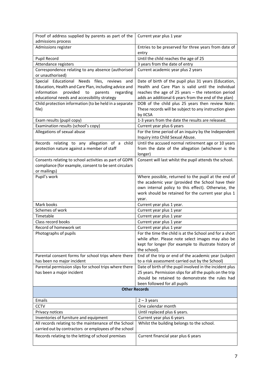| Proof of address supplied by parents as part of the<br>admissions process                                                                                      | Current year plus 1 year                                                                                                                                           |
|----------------------------------------------------------------------------------------------------------------------------------------------------------------|--------------------------------------------------------------------------------------------------------------------------------------------------------------------|
| Admissions register                                                                                                                                            | Entries to be preserved for three years from date of<br>entry                                                                                                      |
| Pupil Record                                                                                                                                                   | Until the child reaches the age of 25                                                                                                                              |
| Attendance registers                                                                                                                                           | 3 years from the date of entry                                                                                                                                     |
| Correspondence relating to any absence (authorised                                                                                                             | Current academic year plus 2 years                                                                                                                                 |
| or unauthorised)                                                                                                                                               |                                                                                                                                                                    |
| Special Educational Needs files, reviews<br>and                                                                                                                | Date of birth of the pupil plus 31 years (Education,                                                                                                               |
| Education, Health and Care Plan, including advice and<br>information<br>provided<br>to<br>parents<br>regarding<br>educational needs and accessibility strategy | Health and Care Plan is valid until the individual<br>reaches the age of 25 years $-$ the retention period<br>adds an additional 6 years from the end of the plan) |
| Child protection information (to be held in a separate<br>file)                                                                                                | DOB of the child plus 25 years then review Note:<br>These records will be subject to any instruction given<br>by IICSA                                             |
| Exam results (pupil copy)                                                                                                                                      | 1-3 years from the date the results are released.                                                                                                                  |
| Examination results (school's copy)                                                                                                                            | Current year plus 6 years                                                                                                                                          |
| Allegations of sexual abuse                                                                                                                                    | For the time period of an inquiry by the Independent<br>Inquiry into Child Sexual Abuse.                                                                           |
| Records relating to any allegation of a child                                                                                                                  | Until the accused normal retirement age or 10 years                                                                                                                |
| protection nature against a member of staff                                                                                                                    | from the date of the allegation (whichever is the<br>longer)                                                                                                       |
| Consents relating to school activities as part of GDPR                                                                                                         | Consent will last whilst the pupil attends the school.                                                                                                             |
| compliance (for example, consent to be sent circulars                                                                                                          |                                                                                                                                                                    |
| or mailings)                                                                                                                                                   |                                                                                                                                                                    |
| Pupil's work                                                                                                                                                   | Where possible, returned to the pupil at the end of                                                                                                                |
|                                                                                                                                                                | the academic year (provided the School have their                                                                                                                  |
|                                                                                                                                                                | own internal policy to this effect). Otherwise, the                                                                                                                |
|                                                                                                                                                                | work should be retained for the current year plus 1<br>year.                                                                                                       |
| Mark books                                                                                                                                                     | Current year plus 1 year.                                                                                                                                          |
| Schemes of work                                                                                                                                                | Current year plus 1 year                                                                                                                                           |
| Timetable                                                                                                                                                      | Current year plus 1 year                                                                                                                                           |
| Class record books                                                                                                                                             | Current year plus 1 year                                                                                                                                           |
| Record of homework set                                                                                                                                         | Current year plus 1 year                                                                                                                                           |
| Photographs of pupils                                                                                                                                          | For the time the child is at the School and for a short                                                                                                            |
|                                                                                                                                                                | while after. Please note select images may also be                                                                                                                 |
|                                                                                                                                                                | kept for longer (for example to illustrate history of                                                                                                              |
|                                                                                                                                                                | the school).                                                                                                                                                       |
| Parental consent forms for school trips where there<br>has been no major incident                                                                              | End of the trip or end of the academic year (subject<br>to a risk assessment carried out by the School)                                                            |
| Parental permission slips for school trips where there                                                                                                         | Date of birth of the pupil involved in the incident plus                                                                                                           |
| has been a major incident                                                                                                                                      | 25 years. Permission slips for all the pupils on the trip                                                                                                          |
|                                                                                                                                                                | should be retained to demonstrate the rules had                                                                                                                    |
|                                                                                                                                                                | been followed for all pupils                                                                                                                                       |
|                                                                                                                                                                | <b>Other Records</b>                                                                                                                                               |
| Emails                                                                                                                                                         | $2 - 3$ years                                                                                                                                                      |
| <b>CCTV</b>                                                                                                                                                    | One calendar month                                                                                                                                                 |
| Privacy notices                                                                                                                                                | Until replaced plus 6 years.                                                                                                                                       |
| Inventories of furniture and equipment                                                                                                                         | Current year plus 6 years                                                                                                                                          |
| All records relating to the maintenance of the School<br>carried out by contractors or employees of the school                                                 | Whilst the building belongs to the school.                                                                                                                         |
| Records relating to the letting of school premises                                                                                                             | Current financial year plus 6 years                                                                                                                                |